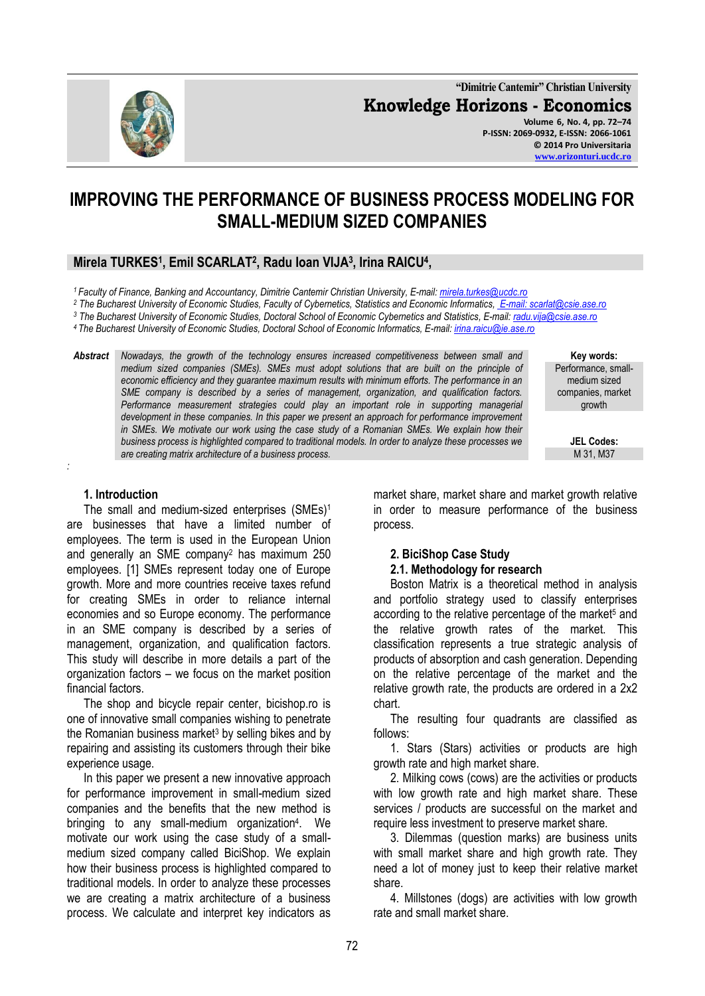72

**"Dimitrie Cantemir" Christian University Knowledge Horizons - Economics Volume 6, No. 4, pp. 72–74 P-ISSN: 2069-0932, E-ISSN: 2066-1061**

**© 2014 Pro Universitaria [www.orizonturi.ucdc.ro](http://www.orizonturi.ucdc.ro/)**

# **IMPROVING THE PERFORMANCE OF BUSINESS PROCESS MODELING FOR SMALL-MEDIUM SIZED COMPANIES**

## **Mirela TURKES<sup>1</sup> , Emil SCARLAT<sup>2</sup> , Radu Ioan VIJA<sup>3</sup> , Irina RAICU<sup>4</sup> ,**

*<sup>1</sup>Faculty of Finance, Banking and Accountancy, Dimitrie Cantemir Christian University, E-mail: [mirela.turkes@ucdc.ro](mailto:mirela.turkes@ucdc.ro)*

*<sup>2</sup> The Bucharest University of Economic Studies, Faculty of Cybernetics, Statistics and Economic Informatics[, E-mail: scarlat@csie.ase.ro](mailto:emil_scarlat@csie.ase.ro)*

*<sup>3</sup> The Bucharest University of Economic Studies, Doctoral School of Economic Cybernetics and Statistics, E-mail[: radu.vija@csie.ase.ro](mailto:radu.vija@csie.ase.ro)*

*<sup>4</sup>The Bucharest University of Economic Studies, Doctoral School of Economic Informatics, E-mail[: irina.raicu@ie.ase.ro](mailto:irina.raicu@ie.ase.ro)*

*Abstract Nowadays, the growth of the technology ensures increased competitiveness between small and medium sized companies (SMEs). SMEs must adopt solutions that are built on the principle of economic efficiency and they guarantee maximum results with minimum efforts. The performance in an SME company is described by a series of management, organization, and qualification factors.*  Performance measurement strategies could play an important role in supporting managerial *development in these companies. In this paper we present an approach for performance improvement*  in SMEs. We motivate our work using the case study of a Romanian SMEs. We explain how their *business process is highlighted compared to traditional models. In order to analyze these processes we are creating matrix architecture of a business process.*

#### **1. Introduction**

*:*

The small and medium-sized enterprises (SMEs)<sup>1</sup> are businesses that have a limited number of employees. The term is used in the European Union and generally an SME company<sup>2</sup> has maximum 250 employees. [1] SMEs represent today one of Europe growth. More and more countries receive taxes refund for creating SMEs in order to reliance internal economies and so Europe economy. The performance in an SME company is described by a series of management, organization, and qualification factors. This study will describe in more details a part of the organization factors – we focus on the market position financial factors.

The shop and bicycle repair center, bicishop.ro is one of innovative small companies wishing to penetrate the Romanian business market<sup>3</sup> by selling bikes and by repairing and assisting its customers through their bike experience usage.

In this paper we present a new innovative approach for performance improvement in small-medium sized companies and the benefits that the new method is bringing to any small-medium organization<sup>4</sup>. We motivate our work using the case study of a smallmedium sized company called BiciShop. We explain how their business process is highlighted compared to traditional models. In order to analyze these processes we are creating a matrix architecture of a business process. We calculate and interpret key indicators as

market share, market share and market growth relative in order to measure performance of the business process.

# **2. BiciShop Case Study**

#### **2.1. Methodology for research**

Boston Matrix is a theoretical method in analysis and portfolio strategy used to classify enterprises according to the relative percentage of the market<sup>5</sup> and the relative growth rates of the market. This classification represents a true strategic analysis of products of absorption and cash generation. Depending on the relative percentage of the market and the relative growth rate, the products are ordered in a 2x2 chart.

The resulting four quadrants are classified as follows:

1. Stars (Stars) activities or products are high growth rate and high market share.

2. Milking cows (cows) are the activities or products with low growth rate and high market share. These services / products are successful on the market and require less investment to preserve market share.

3. Dilemmas (question marks) are business units with small market share and high growth rate. They need a lot of money just to keep their relative market share.

4. Millstones (dogs) are activities with low growth rate and small market share.

**Key words:** Performance, smallmedium sized companies, market growth

> **JEL Codes:** M 31, M37

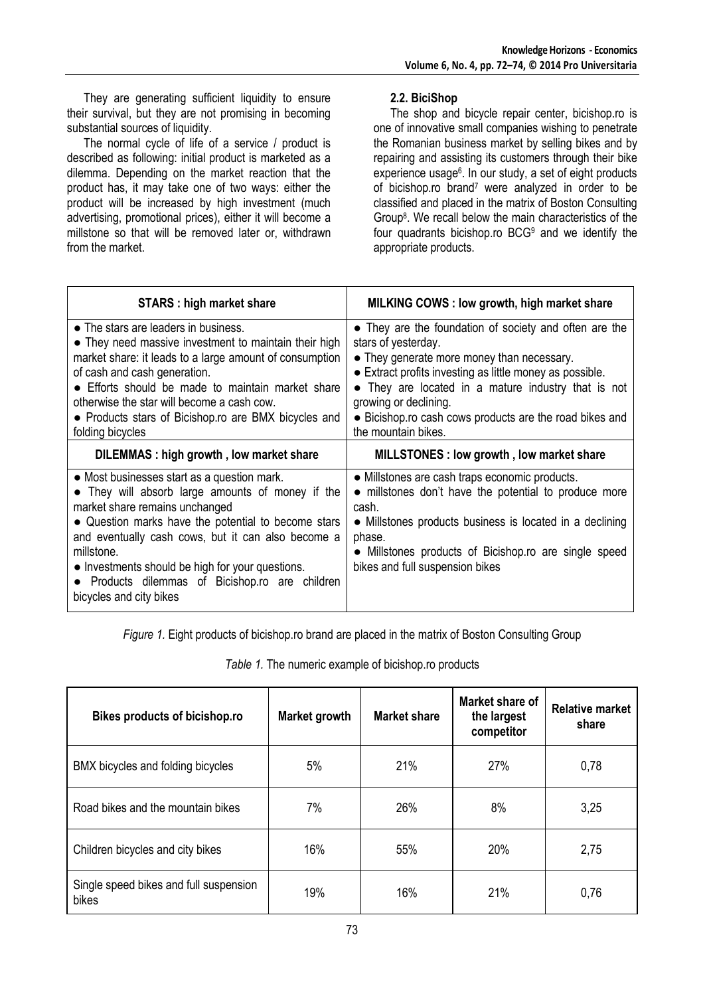They are generating sufficient liquidity to ensure their survival, but they are not promising in becoming substantial sources of liquidity.

The normal cycle of life of a service / product is described as following: initial product is marketed as a dilemma. Depending on the market reaction that the product has, it may take one of two ways: either the product will be increased by high investment (much advertising, promotional prices), either it will become a millstone so that will be removed later or, withdrawn from the market

### **2.2. BiciShop**

The shop and bicycle repair center, bicishop.ro is one of innovative small companies wishing to penetrate the Romanian business market by selling bikes and by repairing and assisting its customers through their bike experience usage<sup>6</sup>. In our study, a set of eight products of bicishop.ro brand<sup>7</sup> were analyzed in order to be classified and placed in the matrix of Boston Consulting Group<sup>8</sup> . We recall below the main characteristics of the four quadrants bicishop.ro BCG<sup>9</sup> and we identify the appropriate products.

| <b>STARS: high market share</b>                                                                                                                                                                                                                                                                                                                                                              | MILKING COWS: low growth, high market share                                                                                                                                                                                                                                                                                                               |  |  |
|----------------------------------------------------------------------------------------------------------------------------------------------------------------------------------------------------------------------------------------------------------------------------------------------------------------------------------------------------------------------------------------------|-----------------------------------------------------------------------------------------------------------------------------------------------------------------------------------------------------------------------------------------------------------------------------------------------------------------------------------------------------------|--|--|
| • The stars are leaders in business.<br>• They need massive investment to maintain their high<br>market share: it leads to a large amount of consumption<br>of cash and cash generation.<br>• Efforts should be made to maintain market share<br>otherwise the star will become a cash cow.<br>• Products stars of Bicishop.ro are BMX bicycles and<br>folding bicycles                      | • They are the foundation of society and often are the<br>stars of yesterday.<br>• They generate more money than necessary.<br>• Extract profits investing as little money as possible.<br>• They are located in a mature industry that is not<br>growing or declining.<br>• Bicishop.ro cash cows products are the road bikes and<br>the mountain bikes. |  |  |
| DILEMMAS : high growth, low market share                                                                                                                                                                                                                                                                                                                                                     | MILLSTONES: low growth, low market share                                                                                                                                                                                                                                                                                                                  |  |  |
| • Most businesses start as a question mark.<br>• They will absorb large amounts of money if the<br>market share remains unchanged<br>• Question marks have the potential to become stars<br>and eventually cash cows, but it can also become a<br>millstone.<br>• Investments should be high for your questions.<br>Products dilemmas of Bicishop.ro are children<br>bicycles and city bikes | • Millstones are cash traps economic products.<br>• millstones don't have the potential to produce more<br>cash.<br>• Millstones products business is located in a declining<br>phase.<br>• Millstones products of Bicishop.ro are single speed<br>bikes and full suspension bikes                                                                        |  |  |

*Figure 1.* Eight products of bicishop.ro brand are placed in the matrix of Boston Consulting Group

*Table 1.* The numeric example of bicishop.ro products

| Bikes products of bicishop.ro                   | <b>Market growth</b> | Market share | Market share of<br>the largest<br>competitor | <b>Relative market</b><br>share |
|-------------------------------------------------|----------------------|--------------|----------------------------------------------|---------------------------------|
| BMX bicycles and folding bicycles               | 5%                   | 21%          | 27%                                          | 0,78                            |
| Road bikes and the mountain bikes               | 7%                   | 26%          | 8%                                           | 3,25                            |
| Children bicycles and city bikes                | 16%                  | 55%          | 20%                                          | 2,75                            |
| Single speed bikes and full suspension<br>bikes | 19%                  | 16%          | 21%                                          | 0,76                            |